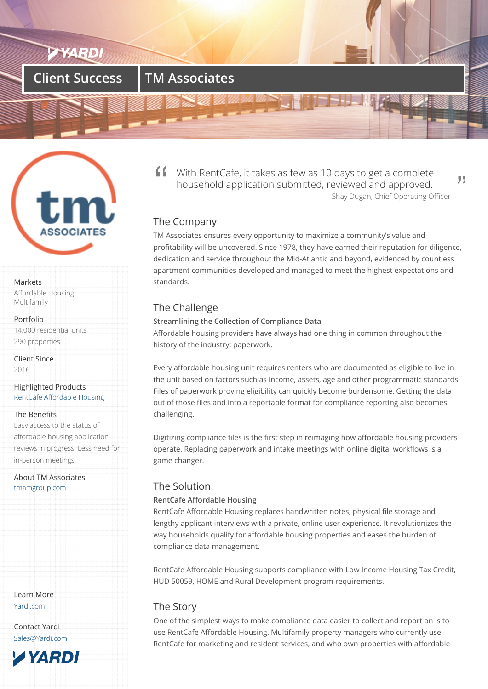

# **Client Success TM Associates**



#### Markets

Affordable Housing Multifamily

Portfolio

14,000 residential units 290 properties

Client Since 2016

Highlighted Products RentCafe Affordable Housing

## The Benefits

Easy access to the status of [affordable housing applicatio](/products/rentcafe-affordable/)n reviews in progress. Less need for in-person meetings.

About TM Associates tmamgroup.com

Learn More Yardi.com

Contact Yardi Sales@Yardi.com With RentCafe, it takes as few as 10 days to get a complete household application submitted, reviewed and approved. Shay Dugan, Chief Operating Officer

"

# The Company

TM Associates ensures every opportunity to maximize a community's value and profitability will be uncovered. Since 1978, they have earned their reputation for diligence, dedication and service throughout the Mid-Atlantic and beyond, evidenced by countless apartment communities developed and managed to meet the highest expectations and standards.

# The Challenge

## **Streamlining the Collection of Compliance Data**

Affordable housing providers have always had one thing in common throughout the history of the industry: paperwork.

Every affordable housing unit requires renters who are documented as eligible to live in the unit based on factors such as income, assets, age and other programmatic standards. Files of paperwork proving eligibility can quickly become burdensome. Getting the data out of those files and into a reportable format for compliance reporting also becomes challenging.

Digitizing compliance files is the first step in reimaging how affordable housing providers operate. Replacing paperwork and intake meetings with online digital workflows is a game changer.

# The Solution

## **RentCafe Affordable Housing**

RentCafe Affordable Housing replaces handwritten notes, physical file storage and lengthy applicant interviews with a private, online user experience. It revolutionizes the way households qualify for affordable housing properties and eases the burden of compliance data management.

RentCafe Affordable Housing supports compliance with Low Income Housing Tax Credit, HUD 50059, HOME and Rural Development program requirements.

# The Story

One of the simplest ways to make compliance data easier to collect and report on is to use RentCafe Affordable Housing. Multifamily property managers who currently use RentCafe for marketing and resident services, and who own properties with affordable

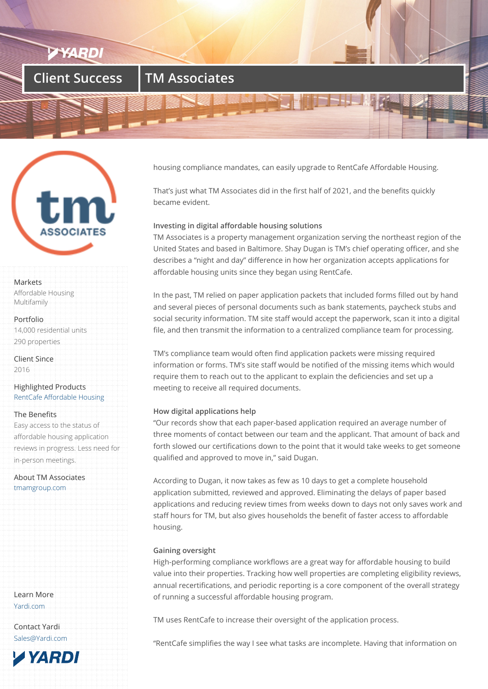# **Client Success TM Associates**



#### Markets

Affordable Housing Multifamily

#### Portfolio

14,000 residential units 290 properties

Client Since 2016

## Highlighted Products RentCafe Affordable Housing

## The Benefits

Easy access to the status of [affordable housing applicatio](/products/rentcafe-affordable/)n reviews in progress. Less need for in-person meetings.

About TM Associates tmamgroup.com

Learn More Yardi.com

Contact Yardi Sales@Yardi.com



housing compliance mandates, can easily upgrade to RentCafe Affordable Housing.

That's just what TM Associates did in the first half of 2021, and the benefits quickly became evident.

## **Investing in digital affordable housing solutions**

TM Associates is a property management organization serving the northeast region of the United States and based in Baltimore. Shay Dugan is TM's chief operating officer, and she describes a "night and day" difference in how her organization accepts applications for affordable housing units since they began using RentCafe.

In the past, TM relied on paper application packets that included forms filled out by hand and several pieces of personal documents such as bank statements, paycheck stubs and social security information. TM site staff would accept the paperwork, scan it into a digital file, and then transmit the information to a centralized compliance team for processing.

TM's compliance team would often find application packets were missing required information or forms. TM's site staff would be notified of the missing items which would require them to reach out to the applicant to explain the deficiencies and set up a meeting to receive all required documents.

## **How digital applications help**

"Our records show that each paper-based application required an average number of three moments of contact between our team and the applicant. That amount of back and forth slowed our certifications down to the point that it would take weeks to get someone qualified and approved to move in," said Dugan.

According to Dugan, it now takes as few as 10 days to get a complete household application submitted, reviewed and approved. Eliminating the delays of paper based applications and reducing review times from weeks down to days not only saves work and staff hours for TM, but also gives households the benefit of faster access to affordable housing.

## **Gaining oversight**

High-performing compliance workflows are a great way for affordable housing to build value into their properties. Tracking how well properties are completing eligibility reviews, annual recertifications, and periodic reporting is a core component of the overall strategy of running a successful affordable housing program.

TM uses RentCafe to increase their oversight of the application process.

"RentCafe simplifies the way I see what tasks are incomplete. Having that information on